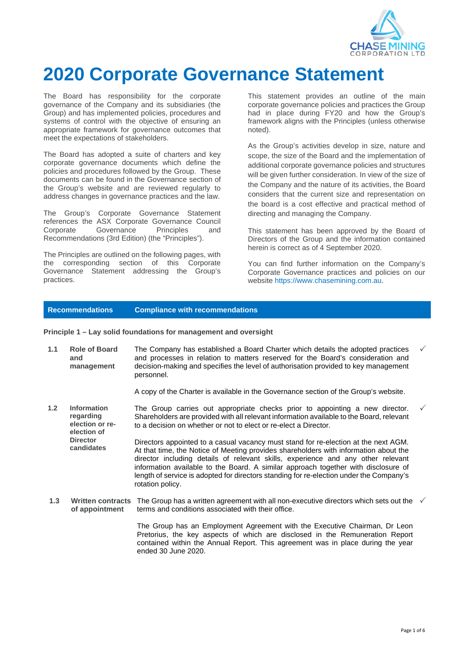

# **2020 Corporate Governance Statement**

The Board has responsibility for the corporate governance of the Company and its subsidiaries (the Group) and has implemented policies, procedures and systems of control with the objective of ensuring an appropriate framework for governance outcomes that meet the expectations of stakeholders.

The Board has adopted a suite of charters and key corporate governance documents which define the policies and procedures followed by the Group. These documents can be found in the Governance section of the Group's website and are reviewed regularly to address changes in governance practices and the law.

The Group's Corporate Governance Statement references the ASX Corporate Governance Council Corporate Governance Principles and Recommendations (3rd Edition) (the "Principles").

The Principles are outlined on the following pages, with the corresponding section of this Corporate Governance Statement addressing the Group's practices.

This statement provides an outline of the main corporate governance policies and practices the Group had in place during FY20 and how the Group's framework aligns with the Principles (unless otherwise noted).

As the Group's activities develop in size, nature and scope, the size of the Board and the implementation of additional corporate governance policies and structures will be given further consideration. In view of the size of the Company and the nature of its activities, the Board considers that the current size and representation on the board is a cost effective and practical method of directing and managing the Company.

This statement has been approved by the Board of Directors of the Group and the information contained herein is correct as of 4 September 2020.

You can find further information on the Company's Corporate Governance practices and policies on our website https:/[/www.chasemining.com.au.](http://www.chasemining.com.au/)

# **Recommendations Compliance with recommendations**

**Principle 1 – Lay solid foundations for management and oversight**

**1.1 Role of Board and management**  The Company has established a Board Charter which details the adopted practices and processes in relation to matters reserved for the Board's consideration and decision-making and specifies the level of authorisation provided to key management personnel.  $\checkmark$ 

A copy of the Charter is available in the Governance section of the Group's website.

- **1.2 Information regarding election or reelection of Director candidates** The Group carries out appropriate checks prior to appointing a new director. Shareholders are provided with all relevant information available to the Board, relevant to a decision on whether or not to elect or re-elect a Director. Directors appointed to a casual vacancy must stand for re-election at the next AGM. At that time, the Notice of Meeting provides shareholders with information about the director including details of relevant skills, experience and any other relevant information available to the Board. A similar approach together with disclosure of length of service is adopted for directors standing for re-election under the Company's rotation policy.
- 1.3 Written contracts The Group has a written agreement with all non-executive directors which sets out the  $\sqrt{ }$ **of appointment** terms and conditions associated with their office.

The Group has an Employment Agreement with the Executive Chairman, Dr Leon Pretorius, the key aspects of which are disclosed in the Remuneration Report contained within the Annual Report. This agreement was in place during the year ended 30 June 2020.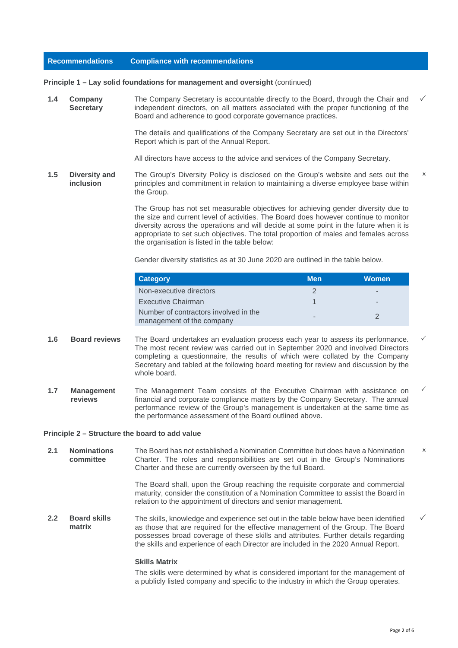#### **Principle 1 – Lay solid foundations for management and oversight (continued)**

**1.4 Company Secretary** The Company Secretary is accountable directly to the Board, through the Chair and independent directors, on all matters associated with the proper functioning of the Board and adherence to good corporate governance practices.

> The details and qualifications of the Company Secretary are set out in the Directors' Report which is part of the Annual Report.

All directors have access to the advice and services of the Company Secretary.

**1.5 Diversity and inclusion** The Group's Diversity Policy is disclosed on the Group's website and sets out the principles and commitment in relation to maintaining a diverse employee base within the Group.  $\times$ 

> The Group has not set measurable objectives for achieving gender diversity due to the size and current level of activities. The Board does however continue to monitor diversity across the operations and will decide at some point in the future when it is appropriate to set such objectives. The total proportion of males and females across the organisation is listed in the table below:

Gender diversity statistics as at 30 June 2020 are outlined in the table below.

| <b>Category</b>                                                    | Men | <b>Women</b> |
|--------------------------------------------------------------------|-----|--------------|
| Non-executive directors                                            |     |              |
| Executive Chairman                                                 |     | -            |
| Number of contractors involved in the<br>management of the company | -   |              |

- **1.6 Board reviews** The Board undertakes an evaluation process each year to assess its performance. The most recent review was carried out in September 2020 and involved Directors completing a questionnaire, the results of which were collated by the Company Secretary and tabled at the following board meeting for review and discussion by the whole board.
- **1.7 Management reviews** The Management Team consists of the Executive Chairman with assistance on financial and corporate compliance matters by the Company Secretary. The annual performance review of the Group's management is undertaken at the same time as the performance assessment of the Board outlined above.  $\checkmark$

#### **Principle 2 – Structure the board to add value**

**2.1 Nominations committee** The Board has not established a Nomination Committee but does have a Nomination Charter. The roles and responsibilities are set out in the Group's Nominations Charter and these are currently overseen by the full Board.  $\mathbf{x}$ 

> The Board shall, upon the Group reaching the requisite corporate and commercial maturity, consider the constitution of a Nomination Committee to assist the Board in relation to the appointment of directors and senior management.

**2.2 Board skills matrix** The skills, knowledge and experience set out in the table below have been identified as those that are required for the effective management of the Group. The Board possesses broad coverage of these skills and attributes. Further details regarding the skills and experience of each Director are included in the 2020 Annual Report.

## **Skills Matrix**

The skills were determined by what is considered important for the management of a publicly listed company and specific to the industry in which the Group operates.

 $\checkmark$ 

 $\checkmark$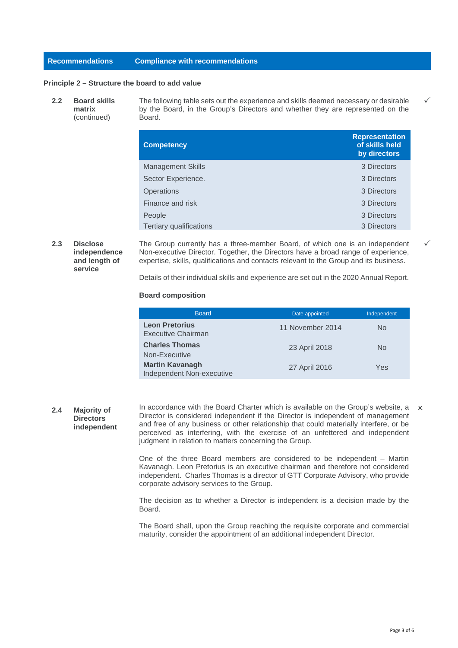## **Principle 2 – Structure the board to add value**

**2.2 Board skills matrix** (continued) The following table sets out the experience and skills deemed necessary or desirable by the Board, in the Group's Directors and whether they are represented on the Board.

| <b>Competency</b>              | <b>Representation</b><br>of skills held<br>by directors |
|--------------------------------|---------------------------------------------------------|
| <b>Management Skills</b>       | 3 Directors                                             |
| Sector Experience.             | 3 Directors                                             |
| Operations                     | 3 Directors                                             |
| Finance and risk               | 3 Directors                                             |
| People                         | 3 Directors                                             |
| <b>Tertiary qualifications</b> | 3 Directors                                             |

**2.3 Disclose independence and length of service**

The Group currently has a three-member Board, of which one is an independent Non-executive Director. Together, the Directors have a broad range of experience, expertise, skills, qualifications and contacts relevant to the Group and its business.

Details of their individual skills and experience are set out in the 2020 Annual Report.

#### **Board composition**

| <b>Board</b>                                        | Date appointed   | Independent |
|-----------------------------------------------------|------------------|-------------|
| <b>Leon Pretorius</b><br><b>Executive Chairman</b>  | 11 November 2014 | No.         |
| <b>Charles Thomas</b><br>Non-Executive              | 23 April 2018    | No.         |
| <b>Martin Kavanagh</b><br>Independent Non-executive | 27 April 2016    | Yes         |

**2.4 Majority of Directors independent** In accordance with the Board Charter which is available on the Group's website, a  $\times$ Director is considered independent if the Director is independent of management and free of any business or other relationship that could materially interfere, or be perceived as interfering, with the exercise of an unfettered and independent judgment in relation to matters concerning the Group.

> One of the three Board members are considered to be independent – Martin Kavanagh. Leon Pretorius is an executive chairman and therefore not considered independent. Charles Thomas is a director of GTT Corporate Advisory, who provide corporate advisory services to the Group.

> The decision as to whether a Director is independent is a decision made by the Board.

> The Board shall, upon the Group reaching the requisite corporate and commercial maturity, consider the appointment of an additional independent Director.

 $\checkmark$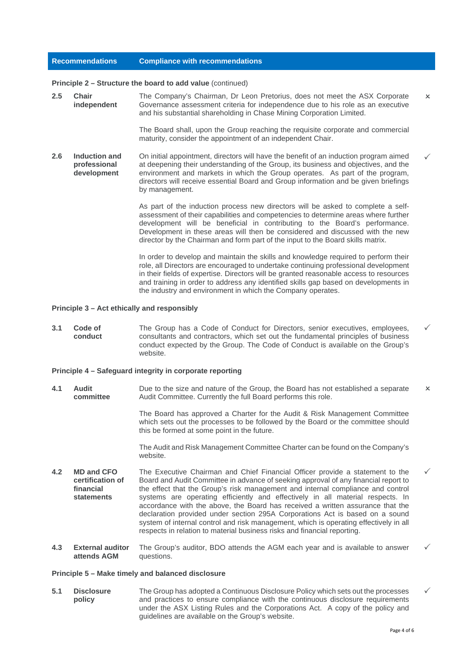#### **Principle 2 – Structure the board to add value** (continued)

**2.5 Chair independent** The Company's Chairman, Dr Leon Pretorius, does not meet the ASX Corporate Governance assessment criteria for independence due to his role as an executive and his substantial shareholding in Chase Mining Corporation Limited.  $\vee$ 

> The Board shall, upon the Group reaching the requisite corporate and commercial maturity, consider the appointment of an independent Chair.

**2.6 Induction and professional development** On initial appointment, directors will have the benefit of an induction program aimed at deepening their understanding of the Group, its business and objectives, and the environment and markets in which the Group operates. As part of the program, directors will receive essential Board and Group information and be given briefings by management.  $\checkmark$ 

> As part of the induction process new directors will be asked to complete a selfassessment of their capabilities and competencies to determine areas where further development will be beneficial in contributing to the Board's performance. Development in these areas will then be considered and discussed with the new director by the Chairman and form part of the input to the Board skills matrix.

> In order to develop and maintain the skills and knowledge required to perform their role, all Directors are encouraged to undertake continuing professional development in their fields of expertise. Directors will be granted reasonable access to resources and training in order to address any identified skills gap based on developments in the industry and environment in which the Company operates.

## **Principle 3 – Act ethically and responsibly**

**3.1 Code of conduct** The Group has a Code of Conduct for Directors, senior executives, employees, consultants and contractors, which set out the fundamental principles of business conduct expected by the Group. The Code of Conduct is available on the Group's website.

#### **Principle 4 – Safeguard integrity in corporate reporting**

**4.1 Audit committee** Due to the size and nature of the Group, the Board has not established a separate Audit Committee. Currently the full Board performs this role.  $\mathsf{x}$ 

> The Board has approved a Charter for the Audit & Risk Management Committee which sets out the processes to be followed by the Board or the committee should this be formed at some point in the future.

> The Audit and Risk Management Committee Charter can be found on the Company's website.

- **4.2 MD and CFO certification of financial statements** The Executive Chairman and Chief Financial Officer provide a statement to the Board and Audit Committee in advance of seeking approval of any financial report to the effect that the Group's risk management and internal compliance and control systems are operating efficiently and effectively in all material respects. In accordance with the above, the Board has received a written assurance that the declaration provided under section 295A Corporations Act is based on a sound system of internal control and risk management, which is operating effectively in all respects in relation to material business risks and financial reporting.  $\checkmark$
- **4.3 External auditor attends AGM** The Group's auditor, BDO attends the AGM each year and is available to answer questions.  $\checkmark$

#### **Principle 5 – Make timely and balanced disclosure**

**5.1 Disclosure policy** The Group has adopted a Continuous Disclosure Policy which sets out the processes and practices to ensure compliance with the continuous disclosure requirements under the ASX Listing Rules and the Corporations Act. A copy of the policy and guidelines are available on the Group's website.  $\checkmark$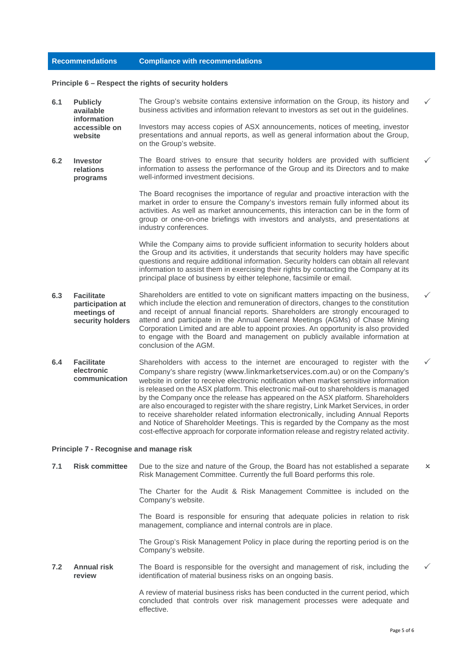#### **Principle 6 – Respect the rights of security holders**

- **6.1 Publicly available information accessible on website** The Group's website contains extensive information on the Group, its history and business activities and information relevant to investors as set out in the guidelines. Investors may access copies of ASX announcements, notices of meeting, investor presentations and annual reports, as well as general information about the Group, on the Group's website.  $\checkmark$
- **6.2 Investor relations programs** The Board strives to ensure that security holders are provided with sufficient information to assess the performance of the Group and its Directors and to make well-informed investment decisions.

The Board recognises the importance of regular and proactive interaction with the market in order to ensure the Company's investors remain fully informed about its activities. As well as market announcements, this interaction can be in the form of group or one-on-one briefings with investors and analysts, and presentations at industry conferences.

While the Company aims to provide sufficient information to security holders about the Group and its activities, it understands that security holders may have specific questions and require additional information. Security holders can obtain all relevant information to assist them in exercising their rights by contacting the Company at its principal place of business by either telephone, facsimile or email.

- **6.3 Facilitate participation at meetings of security holders** Shareholders are entitled to vote on significant matters impacting on the business, which include the election and remuneration of directors, changes to the constitution and receipt of annual financial reports. Shareholders are strongly encouraged to attend and participate in the Annual General Meetings (AGMs) of Chase Mining Corporation Limited and are able to appoint proxies. An opportunity is also provided to engage with the Board and management on publicly available information at conclusion of the AGM.
- **6.4 Facilitate electronic communication** Shareholders with access to the internet are encouraged to register with the Company's share registry ([www.linkmarketservices.com.au](http://www.linkmarketservices.com.au/)) or on the Company's website in order to receive electronic notification when market sensitive information is released on the ASX platform. This electronic mail-out to shareholders is managed by the Company once the release has appeared on the ASX platform. Shareholders are also encouraged to register with the share registry, Link Market Services, in order to receive shareholder related information electronically, including Annual Reports and Notice of Shareholder Meetings. This is regarded by the Company as the most cost-effective approach for corporate information release and registry related activity.

#### **Principle 7 - Recognise and manage risk**

**7.1 Risk committee** Due to the size and nature of the Group, the Board has not established a separate Risk Management Committee. Currently the full Board performs this role.  $\overline{\mathsf{x}}$ 

> The Charter for the Audit & Risk Management Committee is included on the Company's website.

> The Board is responsible for ensuring that adequate policies in relation to risk management, compliance and internal controls are in place.

> The Group's Risk Management Policy in place during the reporting period is on the Company's website.

**7.2 Annual risk review** The Board is responsible for the oversight and management of risk, including the identification of material business risks on an ongoing basis.

> A review of material business risks has been conducted in the current period, which concluded that controls over risk management processes were adequate and effective.

 $\checkmark$ 

 $\checkmark$ 

 $\checkmark$